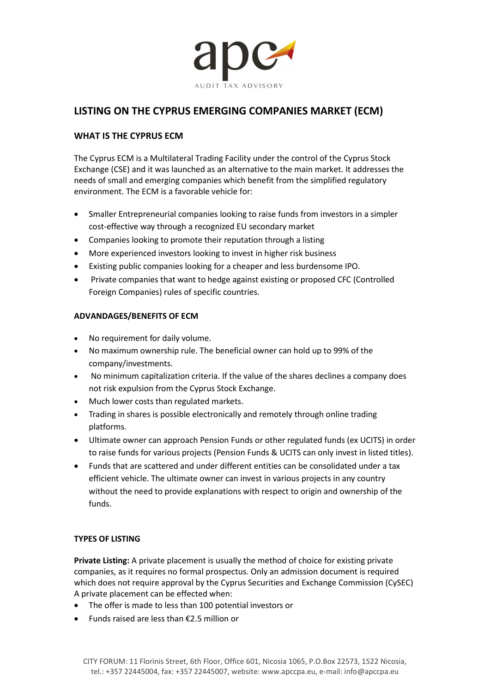

# LISTING ON THE CYPRUS EMERGING COMPANIES MARKET (ECM)

# WHAT IS THE CYPRUS ECM

The Cyprus ECM is a Multilateral Trading Facility under the control of the Cyprus Stock Exchange (CSE) and it was launched as an alternative to the main market. It addresses the needs of small and emerging companies which benefit from the simplified regulatory environment. The ECM is a favorable vehicle for:

- Smaller Entrepreneurial companies looking to raise funds from investors in a simpler cost-effective way through a recognized EU secondary market
- Companies looking to promote their reputation through a listing
- More experienced investors looking to invest in higher risk business
- Existing public companies looking for a cheaper and less burdensome IPO.
- Private companies that want to hedge against existing or proposed CFC (Controlled Foreign Companies) rules of specific countries.

## ADVANDAGES/BENEFITS OF ECM

- No requirement for daily volume.
- No maximum ownership rule. The beneficial owner can hold up to 99% of the company/investments.
- No minimum capitalization criteria. If the value of the shares declines a company does not risk expulsion from the Cyprus Stock Exchange.
- Much lower costs than regulated markets.
- Trading in shares is possible electronically and remotely through online trading platforms.
- Ultimate owner can approach Pension Funds or other regulated funds (ex UCITS) in order to raise funds for various projects (Pension Funds & UCITS can only invest in listed titles).
- Funds that are scattered and under different entities can be consolidated under a tax efficient vehicle. The ultimate owner can invest in various projects in any country without the need to provide explanations with respect to origin and ownership of the funds.

## TYPES OF LISTING

Private Listing: A private placement is usually the method of choice for existing private companies, as it requires no formal prospectus. Only an admission document is required which does not require approval by the Cyprus Securities and Exchange Commission (CySEC) A private placement can be effected when:

- The offer is made to less than 100 potential investors or
- Funds raised are less than  $£2.5$  million or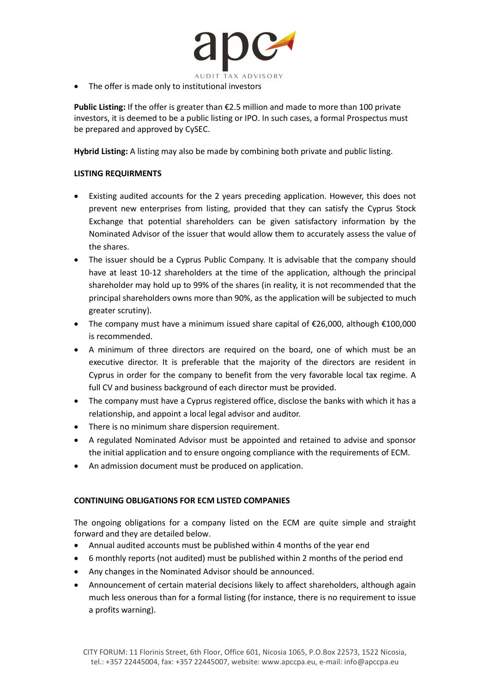

• The offer is made only to institutional investors

Public Listing: If the offer is greater than €2.5 million and made to more than 100 private investors, it is deemed to be a public listing or IPO. In such cases, a formal Prospectus must be prepared and approved by CySEC.

Hybrid Listing: A listing may also be made by combining both private and public listing.

## LISTING REQUIRMENTS

- Existing audited accounts for the 2 years preceding application. However, this does not prevent new enterprises from listing, provided that they can satisfy the Cyprus Stock Exchange that potential shareholders can be given satisfactory information by the Nominated Advisor of the issuer that would allow them to accurately assess the value of the shares.
- The issuer should be a Cyprus Public Company. It is advisable that the company should have at least 10-12 shareholders at the time of the application, although the principal shareholder may hold up to 99% of the shares (in reality, it is not recommended that the principal shareholders owns more than 90%, as the application will be subjected to much greater scrutiny).
- The company must have a minimum issued share capital of €26,000, although €100,000 is recommended.
- A minimum of three directors are required on the board, one of which must be an executive director. It is preferable that the majority of the directors are resident in Cyprus in order for the company to benefit from the very favorable local tax regime. A full CV and business background of each director must be provided.
- The company must have a Cyprus registered office, disclose the banks with which it has a relationship, and appoint a local legal advisor and auditor.
- There is no minimum share dispersion requirement.
- A regulated Nominated Advisor must be appointed and retained to advise and sponsor the initial application and to ensure ongoing compliance with the requirements of ECM.
- An admission document must be produced on application.

## CONTINUING OBLIGATIONS FOR ECM LISTED COMPANIES

The ongoing obligations for a company listed on the ECM are quite simple and straight forward and they are detailed below.

- Annual audited accounts must be published within 4 months of the year end
- 6 monthly reports (not audited) must be published within 2 months of the period end
- Any changes in the Nominated Advisor should be announced.
- Announcement of certain material decisions likely to affect shareholders, although again much less onerous than for a formal listing (for instance, there is no requirement to issue a profits warning).